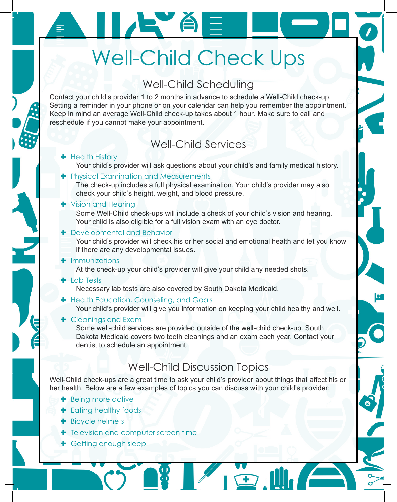# Well-Child Check Ups

IE ÁE

## Well-Child Scheduling

Contact your child's provider 1 to 2 months in advance to schedule a Well-Child check-up. Setting a reminder in your phone or on your calendar can help you remember the appointment. Keep in mind an average Well-Child check-up takes about 1 hour. Make sure to call and reschedule if you cannot make your appointment.

### Well-Child Services

- **+** Health History
	- Your child's provider will ask questions about your child's and family medical history.
- **+** Physical Examination and Measurements

The check-up includes a full physical examination. Your child's provider may also check your child's height, weight, and blood pressure.

#### **+** Vision and Hearing

Some Well-Child check-ups will include a check of your child's vision and hearing. Your child is also eligible for a full vision exam with an eye doctor.

**+** Developmental and Behavior

Your child's provider will check his or her social and emotional health and let you know if there are any developmental issues.

 $\blacksquare$  Immunizations

At the check-up your child's provider will give your child any needed shots.

 $\blacksquare$  Lab Tests

Necessary lab tests are also covered by South Dakota Medicaid.

**+** Health Education, Counseling, and Goals

Your child's provider will give you information on keeping your child healthy and well.

**+** Cleanings and Exam

Some well-child services are provided outside of the well-child check-up. South Dakota Medicaid covers two teeth cleanings and an exam each year. Contact your dentist to schedule an appointment.

## Well-Child Discussion Topics

Well-Child check-ups are a great time to ask your child's provider about things that affect his or her health. Below are a few examples of topics you can discuss with your child's provider:

 $\overline{1}$ 

- **+** Being more active
- $\blacktriangleright$  Eating healthy foods
- $\bullet$  Bicycle helmets
- **+** Television and computer screen time
- **+** Getting enough sleep